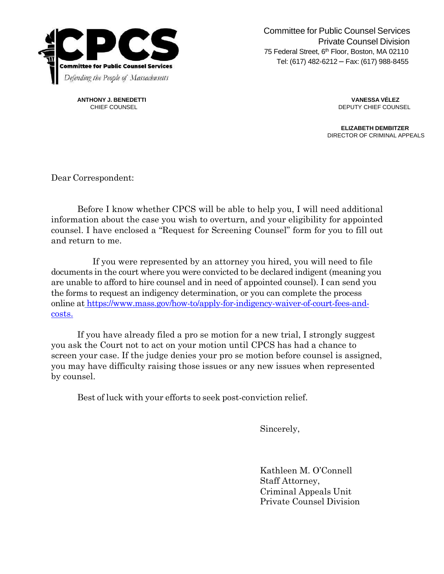

Committee for Public Counsel Services Private Counsel Division 75 Federal Street, 6<sup>th</sup> Floor, Boston, MA 02110 Tel: (617) 482-6212 – Fax: (617) 988-8455

**ANTHONY J. BENEDETTI VANESSA VÉLEZ**

CHIEF COUNSEL **CHIEF COUNSEL CHIEF COUNSEL** 

**ELIZABETH DEMBITZER** DIRECTOR OF CRIMINAL APPEALS

Dear Correspondent:

Before I know whether CPCS will be able to help you, I will need additional information about the case you wish to overturn, and your eligibility for appointed counsel. I have enclosed a "Request for Screening Counsel" form for you to fill out and return to me.

If you were represented by an attorney you hired, you will need to file documents in the court where you were convicted to be declared indigent (meaning you are unable to afford to hire counsel and in need of appointed counsel). I can send you the forms to request an indigency determination, or you can complete the process online at [https://www.mass.gov/how-to/apply-for-indigency-waiver-of-court-fees-and](https://www.mass.gov/how-to/apply-for-indigency-waiver-of-court-fees-and-costs)[costs.](https://www.mass.gov/how-to/apply-for-indigency-waiver-of-court-fees-and-costs)

If you have already filed a pro se motion for a new trial, I strongly suggest you ask the Court not to act on your motion until CPCS has had a chance to screen your case. If the judge denies your pro se motion before counsel is assigned, you may have difficulty raising those issues or any new issues when represented by counsel.

Best of luck with your efforts to seek post-conviction relief.

Sincerely,

Kathleen M. O'Connell Staff Attorney, Criminal Appeals Unit Private Counsel Division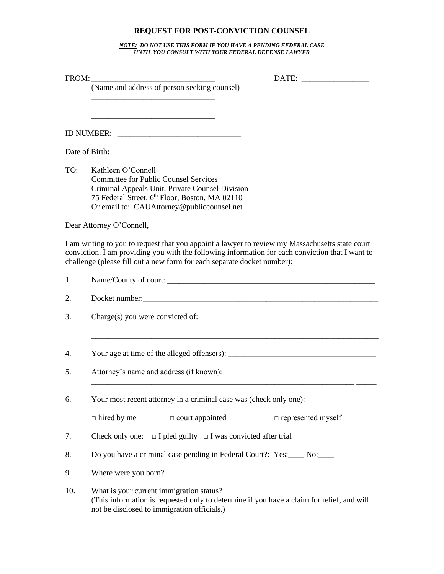## **REQUEST FOR POST-CONVICTION COUNSEL**

*NOTE: DO NOT USE THIS FORM IF YOU HAVE A PENDING FEDERAL CASE UNTIL YOU CONSULT WITH YOUR FEDERAL DEFENSE LAWYER*

| FROM: |                                                                                                                                                                                                                                                                                |  |
|-------|--------------------------------------------------------------------------------------------------------------------------------------------------------------------------------------------------------------------------------------------------------------------------------|--|
|       | (Name and address of person seeking counsel)                                                                                                                                                                                                                                   |  |
|       |                                                                                                                                                                                                                                                                                |  |
|       | Date of Birth:                                                                                                                                                                                                                                                                 |  |
| TO:   | Kathleen O'Connell<br><b>Committee for Public Counsel Services</b><br>Criminal Appeals Unit, Private Counsel Division<br>75 Federal Street, 6th Floor, Boston, MA 02110<br>Or email to: CAUAttorney@publiccounsel.net                                                          |  |
|       | Dear Attorney O'Connell,                                                                                                                                                                                                                                                       |  |
|       | I am writing to you to request that you appoint a lawyer to review my Massachusetts state court<br>conviction. I am providing you with the following information for each conviction that I want to<br>challenge (please fill out a new form for each separate docket number): |  |
| 1.    |                                                                                                                                                                                                                                                                                |  |
| 2.    |                                                                                                                                                                                                                                                                                |  |
| 3.    | Charge(s) you were convicted of:                                                                                                                                                                                                                                               |  |
| 4.    |                                                                                                                                                                                                                                                                                |  |
| 5.    |                                                                                                                                                                                                                                                                                |  |
| 6.    | Your most recent attorney in a criminal case was (check only one):<br>$\Box$ hired by me<br>$\Box$ court appointed<br>$\Box$ represented myself                                                                                                                                |  |
|       |                                                                                                                                                                                                                                                                                |  |
| 7.    | $\Box$ I pled guilty $\Box$ I was convicted after trial<br>Check only one:                                                                                                                                                                                                     |  |
| 8.    | Do you have a criminal case pending in Federal Court?: Yes:_____ No:_____                                                                                                                                                                                                      |  |
| 9.    | Where were you born?                                                                                                                                                                                                                                                           |  |
| 10.   | What is your current immigration status?<br>(This information is requested only to determine if you have a claim for relief, and will<br>not be disclosed to immigration officials.)                                                                                           |  |